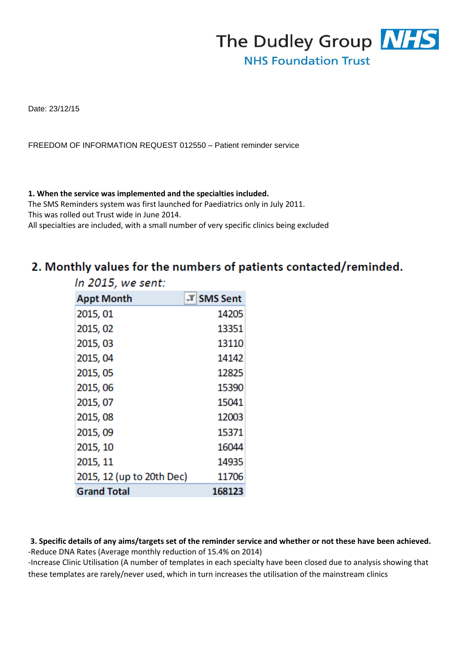

Date: 23/12/15

FREEDOM OF INFORMATION REQUEST 012550 – Patient reminder service

#### **1. When the service was implemented and the specialties included.**

The SMS Reminders system was first launched for Paediatrics only in July 2011. This was rolled out Trust wide in June 2014.

All specialties are included, with a small number of very specific clinics being excluded

# 2. Monthly values for the numbers of patients contacted/reminded.

| In 2015, we sent:         |            |
|---------------------------|------------|
| <b>Appt Month</b>         | T SMS Sent |
| 2015, 01                  | 14205      |
| 2015, 02                  | 13351      |
| 2015, 03                  | 13110      |
| 2015, 04                  | 14142      |
| 2015, 05                  | 12825      |
| 2015, 06                  | 15390      |
| 2015, 07                  | 15041      |
| 2015, 08                  | 12003      |
| 2015, 09                  | 15371      |
| 2015, 10                  | 16044      |
| 2015, 11                  | 14935      |
| 2015, 12 (up to 20th Dec) | 11706      |
| <b>Grand Total</b>        | 168123     |

**3. Specific details of any aims/targets set of the reminder service and whether or not these have been achieved.**  -Reduce DNA Rates (Average monthly reduction of 15.4% on 2014)

-Increase Clinic Utilisation (A number of templates in each specialty have been closed due to analysis showing that these templates are rarely/never used, which in turn increases the utilisation of the mainstream clinics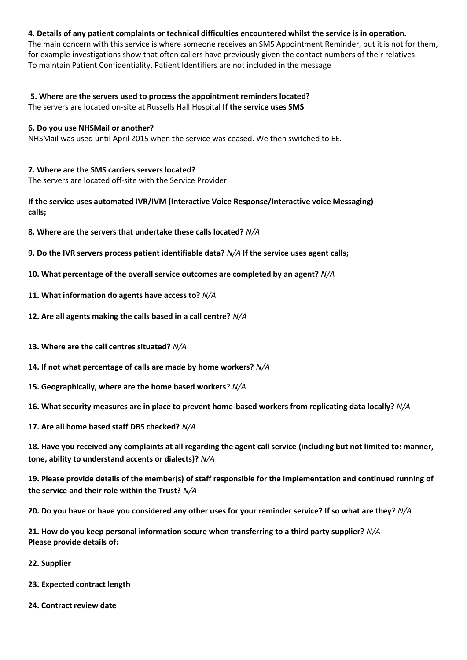# **4. Details of any patient complaints or technical difficulties encountered whilst the service is in operation.**

The main concern with this service is where someone receives an SMS Appointment Reminder, but it is not for them, for example investigations show that often callers have previously given the contact numbers of their relatives. To maintain Patient Confidentiality, Patient Identifiers are not included in the message

**5. Where are the servers used to process the appointment reminders located?**  The servers are located on-site at Russells Hall Hospital **If the service uses SMS** 

#### **6. Do you use NHSMail or another?**

NHSMail was used until April 2015 when the service was ceased. We then switched to EE.

## **7. Where are the SMS carriers servers located?**

The servers are located off-site with the Service Provider

**If the service uses automated IVR/IVM (Interactive Voice Response/Interactive voice Messaging) calls;**

- **8. Where are the servers that undertake these calls located?** *N/A*
- **9. Do the IVR servers process patient identifiable data?** *N/A* **If the service uses agent calls;**
- **10. What percentage of the overall service outcomes are completed by an agent?** *N/A*
- **11. What information do agents have access to?** *N/A*
- **12. Are all agents making the calls based in a call centre?** *N/A*
- **13. Where are the call centres situated?** *N/A*
- **14. If not what percentage of calls are made by home workers?** *N/A*
- **15. Geographically, where are the home based workers**? *N/A*
- **16. What security measures are in place to prevent home-based workers from replicating data locally?** *N/A*
- **17. Are all home based staff DBS checked?** *N/A*

**18. Have you received any complaints at all regarding the agent call service (including but not limited to: manner, tone, ability to understand accents or dialects)?** *N/A* 

**19. Please provide details of the member(s) of staff responsible for the implementation and continued running of the service and their role within the Trust?** *N/A*

**20. Do you have or have you considered any other uses for your reminder service? If so what are they**? *N/A* 

**21. How do you keep personal information secure when transferring to a third party supplier?** *N/A*  **Please provide details of:** 

- **22. Supplier**
- **23. Expected contract length**
- **24. Contract review date**